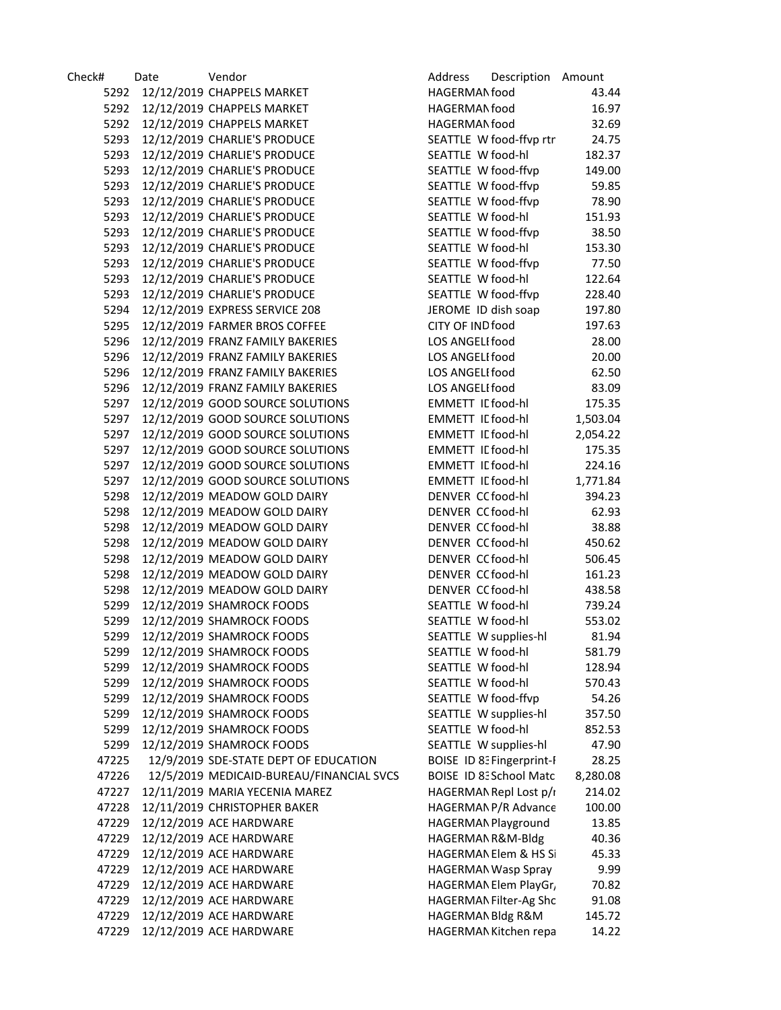| Check# | Date | Vendor                                   | Address                  | Description Amount             |          |
|--------|------|------------------------------------------|--------------------------|--------------------------------|----------|
| 5292   |      | 12/12/2019 CHAPPELS MARKET               | HAGERMAN food            |                                | 43.44    |
| 5292   |      | 12/12/2019 CHAPPELS MARKET               | HAGERMAN food            |                                | 16.97    |
| 5292   |      | 12/12/2019 CHAPPELS MARKET               | HAGERMAN food            |                                | 32.69    |
| 5293   |      | 12/12/2019 CHARLIE'S PRODUCE             |                          | SEATTLE W food-ffvp rtn        | 24.75    |
| 5293   |      | 12/12/2019 CHARLIE'S PRODUCE             | SEATTLE W food-hl        |                                | 182.37   |
| 5293   |      | 12/12/2019 CHARLIE'S PRODUCE             | SEATTLE W food-ffvp      |                                | 149.00   |
| 5293   |      | 12/12/2019 CHARLIE'S PRODUCE             | SEATTLE W food-ffvp      |                                | 59.85    |
| 5293   |      | 12/12/2019 CHARLIE'S PRODUCE             | SEATTLE W food-ffvp      |                                | 78.90    |
| 5293   |      | 12/12/2019 CHARLIE'S PRODUCE             | SEATTLE W food-hl        |                                | 151.93   |
| 5293   |      | 12/12/2019 CHARLIE'S PRODUCE             | SEATTLE W food-ffvp      |                                | 38.50    |
| 5293   |      | 12/12/2019 CHARLIE'S PRODUCE             | SEATTLE W food-hl        |                                | 153.30   |
| 5293   |      | 12/12/2019 CHARLIE'S PRODUCE             | SEATTLE W food-ffvp      |                                | 77.50    |
| 5293   |      | 12/12/2019 CHARLIE'S PRODUCE             | SEATTLE W food-hl        |                                | 122.64   |
| 5293   |      | 12/12/2019 CHARLIE'S PRODUCE             | SEATTLE W food-ffvp      |                                | 228.40   |
| 5294   |      | 12/12/2019 EXPRESS SERVICE 208           | JEROME ID dish soap      |                                | 197.80   |
| 5295   |      | 12/12/2019 FARMER BROS COFFEE            | CITY OF IND food         |                                | 197.63   |
| 5296   |      | 12/12/2019 FRANZ FAMILY BAKERIES         | LOS ANGELI food          |                                | 28.00    |
| 5296   |      | 12/12/2019 FRANZ FAMILY BAKERIES         | LOS ANGELI food          |                                | 20.00    |
| 5296   |      | 12/12/2019 FRANZ FAMILY BAKERIES         | LOS ANGELI food          |                                | 62.50    |
| 5296   |      | 12/12/2019 FRANZ FAMILY BAKERIES         | LOS ANGELI food          |                                | 83.09    |
| 5297   |      | 12/12/2019 GOOD SOURCE SOLUTIONS         | <b>EMMETT IL food-hl</b> |                                | 175.35   |
| 5297   |      | 12/12/2019 GOOD SOURCE SOLUTIONS         | <b>EMMETT IL food-hl</b> |                                | 1,503.04 |
| 5297   |      | 12/12/2019 GOOD SOURCE SOLUTIONS         | <b>EMMETT IL food-hl</b> |                                | 2,054.22 |
| 5297   |      | 12/12/2019 GOOD SOURCE SOLUTIONS         | <b>EMMETT IL food-hl</b> |                                | 175.35   |
| 5297   |      | 12/12/2019 GOOD SOURCE SOLUTIONS         | <b>EMMETT IL food-hl</b> |                                | 224.16   |
| 5297   |      | 12/12/2019 GOOD SOURCE SOLUTIONS         | <b>EMMETT IL food-hl</b> |                                | 1,771.84 |
| 5298   |      | 12/12/2019 MEADOW GOLD DAIRY             | DENVER CC food-hl        |                                | 394.23   |
| 5298   |      | 12/12/2019 MEADOW GOLD DAIRY             | DENVER CC food-hl        |                                | 62.93    |
| 5298   |      | 12/12/2019 MEADOW GOLD DAIRY             | DENVER CC food-hl        |                                | 38.88    |
| 5298   |      | 12/12/2019 MEADOW GOLD DAIRY             | DENVER CC food-hl        |                                | 450.62   |
| 5298   |      | 12/12/2019 MEADOW GOLD DAIRY             | DENVER CC food-hl        |                                | 506.45   |
| 5298   |      | 12/12/2019 MEADOW GOLD DAIRY             | DENVER CC food-hl        |                                | 161.23   |
| 5298   |      | 12/12/2019 MEADOW GOLD DAIRY             | DENVER CC food-hl        |                                | 438.58   |
| 5299   |      | 12/12/2019 SHAMROCK FOODS                | SEATTLE W food-hl        |                                | 739.24   |
| 5299   |      | 12/12/2019 SHAMROCK FOODS                | SEATTLE W food-hl        |                                | 553.02   |
| 5299   |      | 12/12/2019 SHAMROCK FOODS                | SEATTLE W supplies-hl    |                                | 81.94    |
| 5299   |      | 12/12/2019 SHAMROCK FOODS                | SEATTLE W food-hl        |                                | 581.79   |
| 5299   |      | 12/12/2019 SHAMROCK FOODS                | SEATTLE W food-hl        |                                | 128.94   |
| 5299   |      | 12/12/2019 SHAMROCK FOODS                | SEATTLE W food-hl        |                                | 570.43   |
| 5299   |      | 12/12/2019 SHAMROCK FOODS                | SEATTLE W food-ffvp      |                                | 54.26    |
| 5299   |      | 12/12/2019 SHAMROCK FOODS                | SEATTLE W supplies-hl    |                                | 357.50   |
| 5299   |      | 12/12/2019 SHAMROCK FOODS                | SEATTLE W food-hl        |                                | 852.53   |
| 5299   |      | 12/12/2019 SHAMROCK FOODS                | SEATTLE W supplies-hl    |                                | 47.90    |
| 47225  |      | 12/9/2019 SDE-STATE DEPT OF EDUCATION    |                          | BOISE ID 8: Fingerprint-F      | 28.25    |
| 47226  |      | 12/5/2019 MEDICAID-BUREAU/FINANCIAL SVCS |                          | <b>BOISE ID 8: School Matc</b> | 8,280.08 |
| 47227  |      | 12/11/2019 MARIA YECENIA MAREZ           |                          | HAGERMAN Repl Lost p/r         | 214.02   |
| 47228  |      | 12/11/2019 CHRISTOPHER BAKER             |                          | HAGERMAN P/R Advance           | 100.00   |
| 47229  |      | 12/12/2019 ACE HARDWARE                  |                          | HAGERMAN Playground            | 13.85    |
| 47229  |      | 12/12/2019 ACE HARDWARE                  | HAGERMAN R&M-Bldg        |                                | 40.36    |
| 47229  |      | 12/12/2019 ACE HARDWARE                  |                          | HAGERMAN Elem & HS Si          | 45.33    |
| 47229  |      | 12/12/2019 ACE HARDWARE                  |                          | HAGERMAN Wasp Spray            | 9.99     |
| 47229  |      | 12/12/2019 ACE HARDWARE                  |                          | HAGERMAN Elem PlayGr,          | 70.82    |
| 47229  |      | 12/12/2019 ACE HARDWARE                  |                          | HAGERMAN Filter-Ag Shc         | 91.08    |
| 47229  |      | 12/12/2019 ACE HARDWARE                  | HAGERMAN Bldg R&M        |                                | 145.72   |
| 47229  |      | 12/12/2019 ACE HARDWARE                  |                          | HAGERMAN Kitchen repa          | 14.22    |
|        |      |                                          |                          |                                |          |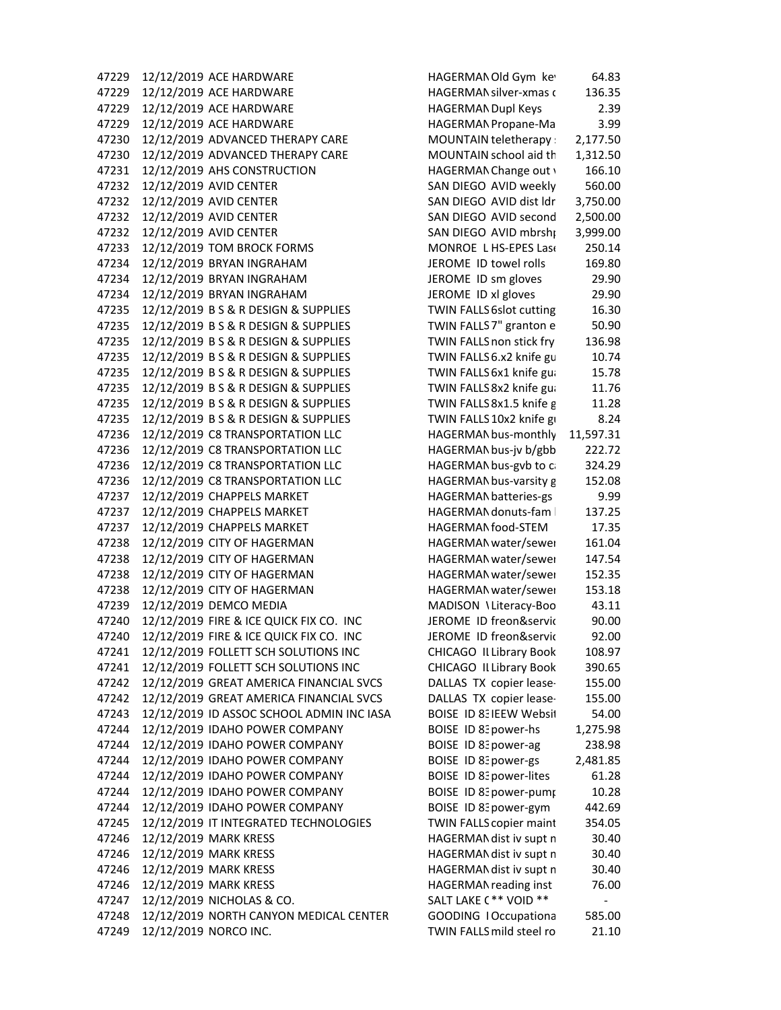47229 12/12/2019 ACE HARDWARE **HAGERMANOLD HAGERMANOLD** Gym key 64.83 A 47229 12/12/2019 ACE HARDWARE HAGERMAN silver-xmas c 136.35 47229 12/12/2019 ACE HARDWARE HAGERMANDupl Keys 2.39 47229 12/12/2019 ACE HARDWARE HAGERMANPropane‐Ma 3.99 47230 12/12/2019 ADVANCED THERAPY CARE MOUNTAIN teletherapy s 2,177.50 47230 12/12/2019 ADVANCED THERAPY CARE MOUNTAIN school aid th 1,312.50 47231 12/12/2019 AHS CONSTRUCTION HAGERMAN Change out v 166.10 47232 12/12/2019 AVID CENTER SAN DIEGO AVID weekly 560.00 47232 12/12/2019 AVID CENTER SAN DIEGO AVID dist ldr 3,750.00 47232 12/12/2019 AVID CENTER SAN DIEGO AVID second 2,500.00 47232 12/12/2019 AVID CENTER SAN DIEGO AVID mbrshp 3,999.00 47233 12/12/2019 TOM BROCK FORMS MONROE L HS‐EPES Lase 250.14 47234 12/12/2019 BRYAN INGRAHAM JEROME ID towel rolls 169.80 47234 12/12/2019 BRYAN INGRAHAM JEROME ID sm gloves 29.90 47234 12/12/2019 BRYAN INGRAHAM JEROME ID xl gloves 29.90 47235 12/12/2019 B S & R DESIGN & SUPPLIES TWIN FALLS6slot cutting 16.30 47235 12/12/2019 B S & R DESIGN & SUPPLIES TWIN FALLS7" granton e 50.90 47235 12/12/2019 B S & R DESIGN & SUPPLIES TWIN FALLSnon stick fry 136.98 47235 12/12/2019 B S & R DESIGN & SUPPLIES TWIN FALLS6.x2 knife gu 10.74 47235 12/12/2019 B S & R DESIGN & SUPPLIES TWIN FALLS6x1 knife gua 15.78 47235 12/12/2019 B S & R DESIGN & SUPPLIES TWIN FALLS8x2 knife gua 11.76 47235 12/12/2019 B S & R DESIGN & SUPPLIES TWIN FALLS8x1.5 knife g 11.28 47235 12/12/2019 B S & R DESIGN & SUPPLIES TWIN FALLS10x2 knife gu 8.24 47236 12/12/2019 C8 TRANSPORTATION LLC HAGERMAN bus-monthly 11,597.31 47236 12/12/2019 C8 TRANSPORTATION LLC HAGERMAN bus-jv b/gbb 222.72 47236 12/12/2019 C8 TRANSPORTATION LLC HAGERMANbus‐gvb to ca 324.29 47236 12/12/2019 C8 TRANSPORTATION LLC HAGERMANbus‐varsity g 152.08 47237 12/12/2019 CHAPPELS MARKET HAGERMAN batteries-gs 9.99 47237 12/12/2019 CHAPPELS MARKET HAGERMAN donuts-fam | 137.25 47237 12/12/2019 CHAPPELS MARKET HAGERMAN food-STEM 17.35 47238 12/12/2019 CITY OF HAGERMAN HAGERMANwater/sewer 161.04 47238 12/12/2019 CITY OF HAGERMAN HAGERMANwater/sewer 147.54 47238 12/12/2019 CITY OF HAGERMAN HAGERMANwater/sewer 152.35 47238 12/12/2019 CITY OF HAGERMAN HAGERMANwater/sewer 153.18 47239 12/12/2019 DEMCO MEDIA MADISON \Literacy-Boo 43.11 47240 12/12/2019 FIRE & ICE QUICK FIX CO. INC JEROME ID freon&servic 90.00 47240 12/12/2019 FIRE & ICE QUICK FIX CO. INC JEROME ID freon&servic 92.00 47241 12/12/2019 FOLLETT SCH SOLUTIONS INC CHICAGO ILLibrary Book 108.97 47241 12/12/2019 FOLLETT SCH SOLUTIONS INC CHICAGO ILLibrary Book 390.65 47242 12/12/2019 GREAT AMERICA FINANCIAL SVCS DALLAS TX copier lease‐ 155.00 47242 12/12/2019 GREAT AMERICA FINANCIAL SVCS DALLAS TX copier lease‐ 155.00 47243 12/12/2019 ID ASSOC SCHOOL ADMIN INC IASA BOISE ID 83IEEW Websit 54.00 47244 12/12/2019 IDAHO POWER COMPANY BOISE ID 8: power-hs 1,275.98 47244 12/12/2019 IDAHO POWER COMPANY BOISE ID 8: power-ag 238.98 47244 12/12/2019 IDAHO POWER COMPANY BOISE ID 8: power-gs 2,481.85 47244 12/12/2019 IDAHO POWER COMPANY BOISE ID 8: power-lites 61.28 47244 12/12/2019 IDAHO POWER COMPANY BOISE ID 83power‐pump 10.28 47244 12/12/2019 IDAHO POWER COMPANY BOISE ID 8: power-gym 442.69 47245 12/12/2019 IT INTEGRATED TECHNOLOGIES TWIN FALLScopier maint 354.05 47246 12/12/2019 MARK KRESS HAGERMAN dist iv supt n 30.40 47246 12/12/2019 MARK KRESS HAGERMAN dist iv supt n 30.40 47246 12/12/2019 MARK KRESS HAGERMAN dist iv supt n 30.40 47246 12/12/2019 MARK KRESS HAGERMAN reading inst 76.00 47247 12/12/2019 NICHOLAS & CO. SALT LAKE C\*\* VOID \*\* 47248 12/12/2019 NORTH CANYON MEDICAL CENTER GOODING IOccupationa 585.00 47249 12/12/2019 NORCO INC. TWIN FALLSmild steel ro 21.10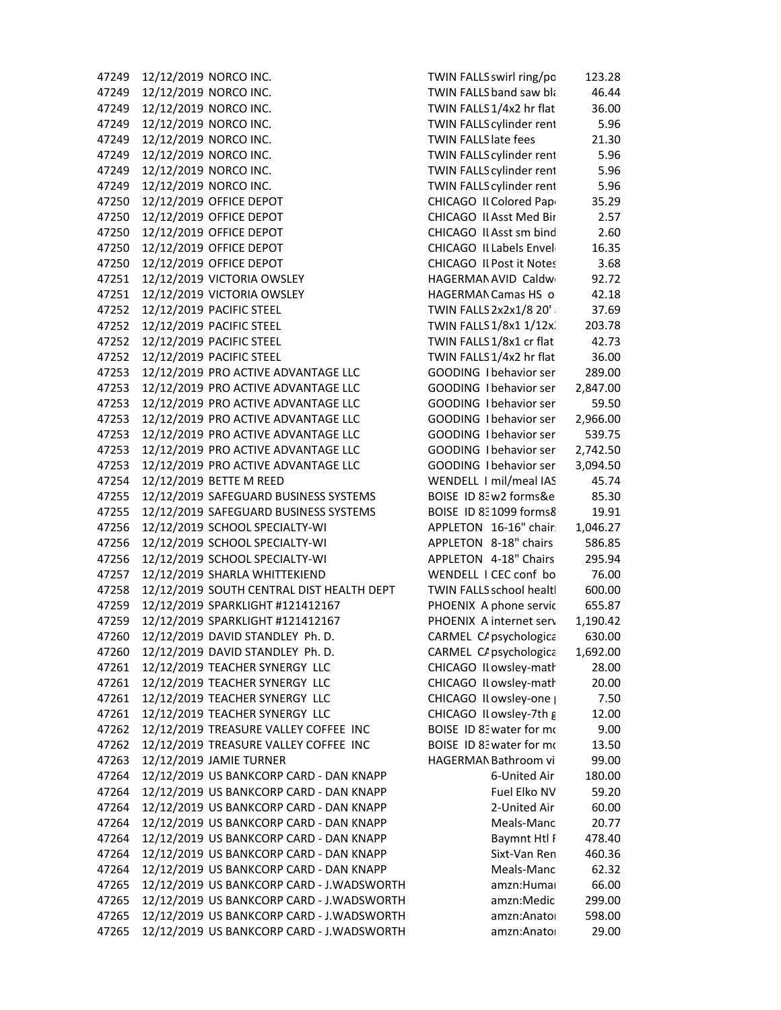47249 12/12/2019 NORCO INC. TWIN FALLSswirl ring/po 123.28 47249 12/12/2019 NORCO INC. TWIN FALLS band saw black a 46.44 47249 12/12/2019 NORCO INC. TWIN FALLS1/4x2 hr flat 36.00 47249 12/12/2019 NORCO INC. TWIN FALLS cylinder rent 5.96 47249 12/12/2019 NORCO INC. TWIN FALLSlate fees 21.30 47249 12/12/2019 NORCO INC. TWIN FALLScylinder rent 5.96 47249 12/12/2019 NORCO INC. TWIN FALLS cylinder rent 5.96 47249 12/12/2019 NORCO INC. TWIN FALLS cylinder rent 5.96 47250 12/12/2019 OFFICE DEPOT CHICAGO II Colored Pape 35.29 47250 12/12/2019 OFFICE DEPOT CHICAGO ILAsst Med Bin 2.57 47250 12/12/2019 OFFICE DEPOT CHICAGO II Asst sm bind 2.60 47250 12/12/2019 OFFICE DEPOT CHICAGO II Labels Envelo 16.35 47250 12/12/2019 OFFICE DEPOT CHICAGO II Post it Notes 3.68 47251 12/12/2019 VICTORIA OWSLEY HAGERMANAVID Caldwe 92.72 47251 12/12/2019 VICTORIA OWSLEY HAGERMAN Camas HS o 42.18 47252 12/12/2019 PACIFIC STEEL TWIN FALLS 2x2x1/8 20' a 37.69 47252 12/12/2019 PACIFIC STEEL TWIN FALLS 1/8x1 1/12x. 203.78 47252 12/12/2019 PACIFIC STEEL TWIN FALLS 1/8x1 cr flat 42.73 47252 12/12/2019 PACIFIC STEEL TWIN FALLS1/4x2 hr flat 36.00 47253 12/12/2019 PRO ACTIVE ADVANTAGE LLC GOODING I behavior ser 289.00 47253 12/12/2019 PRO ACTIVE ADVANTAGE LLC GOODING I behavior ser 2,847.00 47253 12/12/2019 PRO ACTIVE ADVANTAGE LLC GOODING I behavior ser 59.50 47253 12/12/2019 PRO ACTIVE ADVANTAGE LLC GOODING I behavior ser 2,966.00 47253 12/12/2019 PRO ACTIVE ADVANTAGE LLC GOODING I behavior ser 539.75 47253 12/12/2019 PRO ACTIVE ADVANTAGE LLC GOODING I behavior ser 2,742.50 47253 12/12/2019 PRO ACTIVE ADVANTAGE LLC GOODING I behavior ser 3,094.50 47254 12/12/2019 BETTE M REED WENDELL I mil/meal IAS 45.74 47255 12/12/2019 SAFEGUARD BUSINESS SYSTEMS BOISE ID 83 w2 forms&e 85.30 47255 12/12/2019 SAFEGUARD BUSINESS SYSTEMS BOISE ID 831099 forms& 19.91 47256 12/12/2019 SCHOOL SPECIALTY-WI APPLETON 16-16" chair: 1,046.27 47256 12/12/2019 SCHOOL SPECIALTY‐WI APPLETON 8‐18" chairs 586.85 47256 12/12/2019 SCHOOL SPECIALTY‐WI APPLETON 4‐18" Chairs 295.94 47257 12/12/2019 SHARLA WHITTEKIEND WENDELL I CEC conf bo 76.00 47258 12/12/2019 SOUTH CENTRAL DIST HEALTH DEPT TWIN FALLSschool health 600.00 47259 12/12/2019 SPARKLIGHT #121412167 PHOENIX A phone servic 655.87 47259 12/12/2019 SPARKLIGHT #121412167 PHOENIX A internet serv 1,190.42 47260 12/12/2019 DAVID STANDLEY Ph. D. CARMEL C/ psychologica 630.00 47260 12/12/2019 DAVID STANDLEY Ph. D. CARMEL C/ psychologica 1,692.00 47261 12/12/2019 TEACHER SYNERGY LLC CHICAGO II owsley-math 28.00 47261 12/12/2019 TEACHER SYNERGY LLC CHICAGO ILowsley‐math 20.00 47261 12/12/2019 TEACHER SYNERGY LLC CHICAGO ILowsley‐one p 7.50 47261 12/12/2019 TEACHER SYNERGY LLC CHICAGO ILowsley‐7th g 12.00 47262 12/12/2019 TREASURE VALLEY COFFEE INC BOISE ID 83water for mo 9.00 47262 12/12/2019 TREASURE VALLEY COFFEE INC BOISE ID 83water for mo 13.50 47263 12/12/2019 JAMIE TURNER HAGERMANBathroom vi 99.00 47264 12/12/2019 US BANKCORP CARD ‐ DAN KNAPP 6‐United Air 180.00 47264 12/12/2019 US BANKCORP CARD - DAN KNAPP Fuel Elko NV 59.20 47264 12/12/2019 US BANKCORP CARD ‐ DAN KNAPP 2‐United Air 60.00 47264 12/12/2019 US BANKCORP CARD ‐ DAN KNAPP Meals‐Manc 20.77 47264 12/12/2019 US BANKCORP CARD - DAN KNAPP Baymnt Htl F 478.40 47264 12/12/2019 US BANKCORP CARD ‐ DAN KNAPP Sixt‐Van Ren 460.36 47264 12/12/2019 US BANKCORP CARD ‐ DAN KNAPP Meals‐Manc 62.32 47265 12/12/2019 US BANKCORP CARD ‐ J.WADSWORTH amzn:Human 66.00 47265 12/12/2019 US BANKCORP CARD - J.WADSWORTH amzn:Medic 299.00 47265 12/12/2019 US BANKCORP CARD - J.WADSWORTH amzn:Anatol 598.00 47265 12/12/2019 US BANKCORP CARD ‐ J.WADSWORTH amzn:Anatom 29.00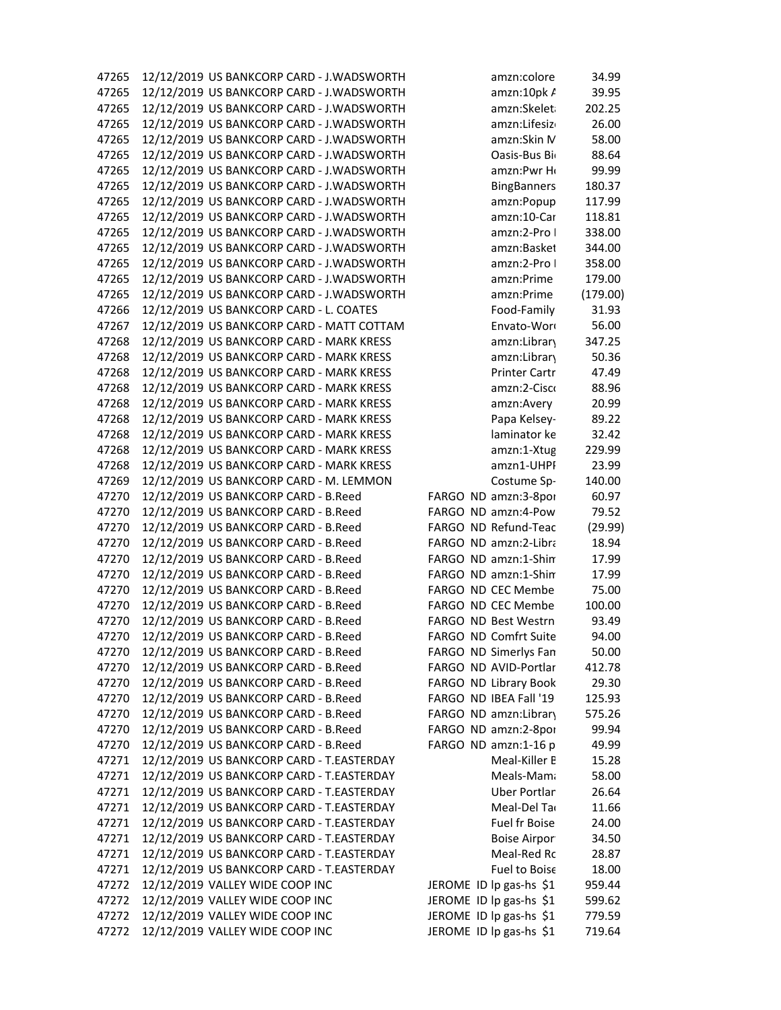| 47265 | 12/12/2019 US BANKCORP CARD - J.WADSWORTH | amzn:colore             | 34.99    |
|-------|-------------------------------------------|-------------------------|----------|
| 47265 | 12/12/2019 US BANKCORP CARD - J.WADSWORTH | amzn:10pk A             | 39.95    |
| 47265 | 12/12/2019 US BANKCORP CARD - J.WADSWORTH | amzn:Skeleta            | 202.25   |
| 47265 | 12/12/2019 US BANKCORP CARD - J.WADSWORTH | amzn:Lifesizo           | 26.00    |
| 47265 | 12/12/2019 US BANKCORP CARD - J.WADSWORTH | amzn:Skin M             | 58.00    |
| 47265 | 12/12/2019 US BANKCORP CARD - J.WADSWORTH | Oasis-Bus Bio           | 88.64    |
| 47265 | 12/12/2019 US BANKCORP CARD - J.WADSWORTH | amzn:Pwr Ho             | 99.99    |
| 47265 | 12/12/2019 US BANKCORP CARD - J.WADSWORTH | <b>BingBanners</b>      | 180.37   |
| 47265 | 12/12/2019 US BANKCORP CARD - J.WADSWORTH | amzn:Popup              | 117.99   |
| 47265 | 12/12/2019 US BANKCORP CARD - J.WADSWORTH | amzn:10-Car             | 118.81   |
| 47265 | 12/12/2019 US BANKCORP CARD - J.WADSWORTH | amzn:2-Pro I            | 338.00   |
| 47265 | 12/12/2019 US BANKCORP CARD - J.WADSWORTH | amzn:Basket             | 344.00   |
| 47265 | 12/12/2019 US BANKCORP CARD - J.WADSWORTH | amzn:2-Pro I            | 358.00   |
| 47265 | 12/12/2019 US BANKCORP CARD - J.WADSWORTH | amzn:Prime              | 179.00   |
| 47265 | 12/12/2019 US BANKCORP CARD - J.WADSWORTH | amzn:Prime              | (179.00) |
| 47266 | 12/12/2019 US BANKCORP CARD - L. COATES   | Food-Family             | 31.93    |
| 47267 | 12/12/2019 US BANKCORP CARD - MATT COTTAM | Envato-Word             | 56.00    |
| 47268 | 12/12/2019 US BANKCORP CARD - MARK KRESS  | amzn:Library            | 347.25   |
| 47268 | 12/12/2019 US BANKCORP CARD - MARK KRESS  | amzn:Library            | 50.36    |
| 47268 | 12/12/2019 US BANKCORP CARD - MARK KRESS  | <b>Printer Cartr</b>    | 47.49    |
| 47268 | 12/12/2019 US BANKCORP CARD - MARK KRESS  | amzn:2-Cisco            | 88.96    |
| 47268 | 12/12/2019 US BANKCORP CARD - MARK KRESS  | amzn:Avery              | 20.99    |
| 47268 | 12/12/2019 US BANKCORP CARD - MARK KRESS  | Papa Kelsey-            | 89.22    |
| 47268 | 12/12/2019 US BANKCORP CARD - MARK KRESS  | laminator ke            | 32.42    |
| 47268 | 12/12/2019 US BANKCORP CARD - MARK KRESS  | amzn:1-Xtug             | 229.99   |
| 47268 | 12/12/2019 US BANKCORP CARD - MARK KRESS  | amzn1-UHPI              | 23.99    |
| 47269 | 12/12/2019 US BANKCORP CARD - M. LEMMON   | Costume Sp-             | 140.00   |
| 47270 | 12/12/2019 US BANKCORP CARD - B.Reed      | FARGO ND amzn:3-8por    | 60.97    |
| 47270 | 12/12/2019 US BANKCORP CARD - B.Reed      | FARGO ND amzn:4-Pow     | 79.52    |
| 47270 | 12/12/2019 US BANKCORP CARD - B.Reed      | FARGO ND Refund-Teac    | (29.99)  |
| 47270 | 12/12/2019 US BANKCORP CARD - B.Reed      | FARGO ND amzn:2-Libra   | 18.94    |
| 47270 | 12/12/2019 US BANKCORP CARD - B.Reed      | FARGO ND amzn:1-Shin    | 17.99    |
| 47270 | 12/12/2019 US BANKCORP CARD - B.Reed      | FARGO ND amzn:1-Shim    | 17.99    |
| 47270 | 12/12/2019 US BANKCORP CARD - B.Reed      | FARGO ND CEC Membe      | 75.00    |
| 47270 | 12/12/2019 US BANKCORP CARD - B.Reed      | FARGO ND CEC Membe      | 100.00   |
| 47270 | 12/12/2019 US BANKCORP CARD - B.Reed      | FARGO ND Best Westrn    | 93.49    |
| 47270 | 12/12/2019 US BANKCORP CARD - B.Reed      | FARGO ND Comfrt Suite   | 94.00    |
| 47270 | 12/12/2019 US BANKCORP CARD - B.Reed      | FARGO ND Simerlys Fan   | 50.00    |
| 47270 | 12/12/2019 US BANKCORP CARD - B.Reed      | FARGO ND AVID-Portlar   | 412.78   |
| 47270 | 12/12/2019 US BANKCORP CARD - B.Reed      | FARGO ND Library Book   | 29.30    |
| 47270 | 12/12/2019 US BANKCORP CARD - B.Reed      | FARGO ND IBEA Fall '19  | 125.93   |
| 47270 | 12/12/2019 US BANKCORP CARD - B.Reed      | FARGO ND amzn:Library   | 575.26   |
| 47270 | 12/12/2019 US BANKCORP CARD - B.Reed      | FARGO ND amzn:2-8por    | 99.94    |
| 47270 | 12/12/2019 US BANKCORP CARD - B.Reed      | FARGO ND amzn:1-16 p    | 49.99    |
| 47271 | 12/12/2019 US BANKCORP CARD - T.EASTERDAY | Meal-Killer B           | 15.28    |
| 47271 | 12/12/2019 US BANKCORP CARD - T.EASTERDAY | Meals-Mama              | 58.00    |
| 47271 | 12/12/2019 US BANKCORP CARD - T.EASTERDAY | <b>Uber Portlan</b>     | 26.64    |
| 47271 | 12/12/2019 US BANKCORP CARD - T.EASTERDAY | Meal-Del Tar            | 11.66    |
| 47271 | 12/12/2019 US BANKCORP CARD - T.EASTERDAY | Fuel fr Boise           | 24.00    |
| 47271 | 12/12/2019 US BANKCORP CARD - T.EASTERDAY | <b>Boise Airpor</b>     | 34.50    |
| 47271 | 12/12/2019 US BANKCORP CARD - T.EASTERDAY | Meal-Red Rc             | 28.87    |
| 47271 | 12/12/2019 US BANKCORP CARD - T.EASTERDAY | Fuel to Boise           | 18.00    |
| 47272 | 12/12/2019 VALLEY WIDE COOP INC           | JEROME ID lp gas-hs \$1 | 959.44   |
| 47272 | 12/12/2019 VALLEY WIDE COOP INC           | JEROME ID lp gas-hs \$1 | 599.62   |
| 47272 | 12/12/2019 VALLEY WIDE COOP INC           | JEROME ID lp gas-hs \$1 | 779.59   |
| 47272 | 12/12/2019 VALLEY WIDE COOP INC           | JEROME ID lp gas-hs \$1 | 719.64   |
|       |                                           |                         |          |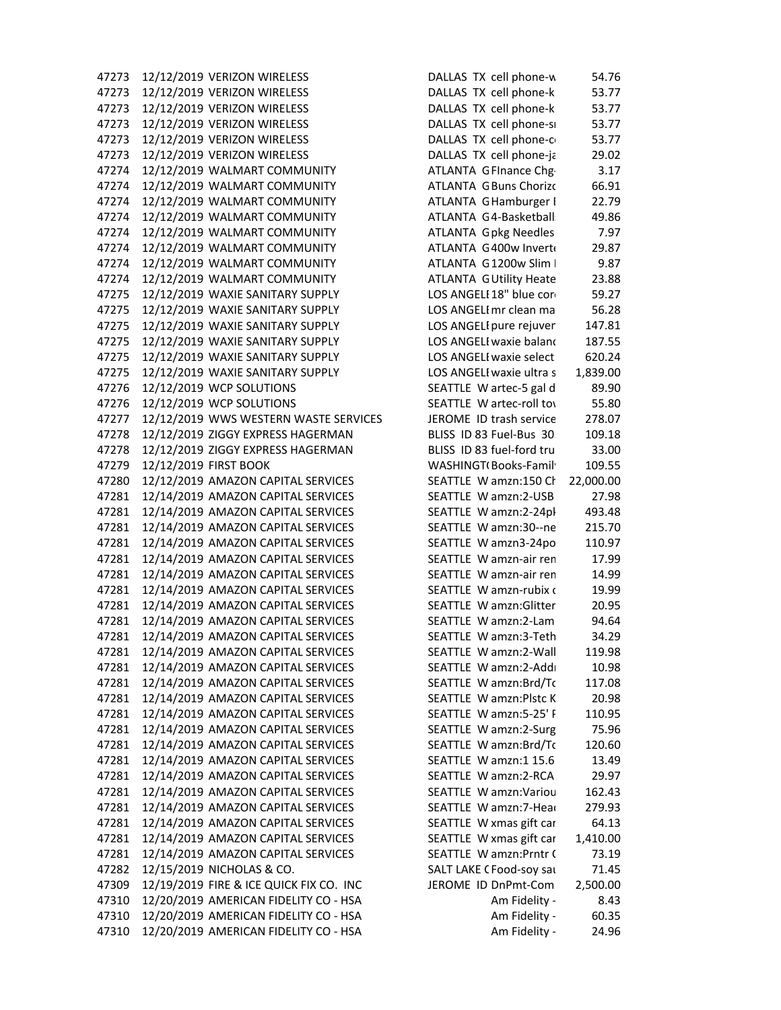47273 12/12/2019 VERIZON WIRELESS DALLAS TX cell phone-w 54.76 47273 12/12/2019 VERIZON WIRELESS DALLAS TX cell phone-k 53.77 47273 12/12/2019 VERIZON WIRELESS DALLAS TX cell phone-k 53.77 47273 12/12/2019 VERIZON WIRELESS DALLAS TX cell phone‐sm 53.77 47273 12/12/2019 VERIZON WIRELESS DALLAS TX cell phone‐co 53.77 47273 12/12/2019 VERIZON WIRELESS DALLAS TX cell phone‐ja 29.02 47274 12/12/2019 WALMART COMMUNITY ATLANTA GFInance Chg· 3.17 47274 12/12/2019 WALMART COMMUNITY **ATLANTA G Buns Chorizc** 66.91 47274 12/12/2019 WALMART COMMUNITY ATLANTA G Hamburger [ 22.79 47274 12/12/2019 WALMART COMMUNITY ATLANTA G4-Basketball: 49.86 47274 12/12/2019 WALMART COMMUNITY ATLANTA G pkg Needles 7.97 47274 12/12/2019 WALMART COMMUNITY ATLANTA G400w Inverte 29.87 47274 12/12/2019 WALMART COMMUNITY ATLANTA G1200w Slim I 9.87 47274 12/12/2019 WALMART COMMUNITY ATLANTA GUtility Heate 23.88 47275 12/12/2019 WAXIE SANITARY SUPPLY LOS ANGELE18" blue core 59.27 47275 12/12/2019 WAXIE SANITARY SUPPLY LOS ANGELEmr clean ma 56.28 47275 12/12/2019 WAXIE SANITARY SUPPLY LOS ANGELEpure rejuven 147.81 47275 12/12/2019 WAXIE SANITARY SUPPLY LOS ANGELEwaxie balanc 187.55 47275 12/12/2019 WAXIE SANITARY SUPPLY LOS ANGELEwaxie select 620.24 47275 12/12/2019 WAXIE SANITARY SUPPLY LOS ANGELEwaxie ultra s 1,839.00 47276 12/12/2019 WCP SOLUTIONS SEATTLE W artec-5 gal d 89.90 47276 12/12/2019 WCP SOLUTIONS SEATTLE W artec-roll to by the set of the set of the second to the set of the s 47277 12/12/2019 WWS WESTERN WASTE SERVICES JEROME ID trash service 278.07 47278 12/12/2019 ZIGGY EXPRESS HAGERMAN BLISS ID 83 Fuel‐Bus 30. 109.18 47278 12/12/2019 ZIGGY EXPRESS HAGERMAN BLISS ID 83 fuel‐ford tru 33.00 47279 12/12/2019 FIRST BOOK WASHINGT(Books-Family 109.55 47280 12/12/2019 AMAZON CAPITAL SERVICES SEATTLE W amzn:150 Ch 22,000.00 47281 12/14/2019 AMAZON CAPITAL SERVICES SEATTLE W amzn:2-USB 27.98 47281 12/14/2019 AMAZON CAPITAL SERVICES SEATTLE W amzn:2‐24pk 493.48 47281 12/14/2019 AMAZON CAPITAL SERVICES SEATTLE W amzn:30‐‐ne 215.70 47281 12/14/2019 AMAZON CAPITAL SERVICES SEATTLE W amzn3‐24po 110.97 47281 12/14/2019 AMAZON CAPITAL SERVICES SEATTLE W amzn‐air rem 17.99 47281 12/14/2019 AMAZON CAPITAL SERVICES SEATTLE W amzn-air ren 14.99 47281 12/14/2019 AMAZON CAPITAL SERVICES SEATTLE W amzn‐rubix c 19.99 47281 12/14/2019 AMAZON CAPITAL SERVICES SEATTLE W amzn:Glitter 20.95 47281 12/14/2019 AMAZON CAPITAL SERVICES SEATTLE W amzn:2‐Lam 94.64 47281 12/14/2019 AMAZON CAPITAL SERVICES SEATTLE W amzn:3-Teth 34.29 47281 12/14/2019 AMAZON CAPITAL SERVICES SEATTLE W amzn:2-Wall 119.98 47281 12/14/2019 AMAZON CAPITAL SERVICES SEATTLE W amzn:2-Addi 10.98 47281 12/14/2019 AMAZON CAPITAL SERVICES SEATTLE W amzn:Brd/Tc 117.08 47281 12/14/2019 AMAZON CAPITAL SERVICES SEATTLE W amzn:Plstc K 20.98 47281 12/14/2019 AMAZON CAPITAL SERVICES SEATTLE W amzn:5‐25' P 110.95 47281 12/14/2019 AMAZON CAPITAL SERVICES SEATTLE W amzn:2-Surg 75.96 47281 12/14/2019 AMAZON CAPITAL SERVICES SEATTLE W amzn:Brd/Tc 120.60 47281 12/14/2019 AMAZON CAPITAL SERVICES SEATTLE W amzn:1 15.6 13.49 47281 12/14/2019 AMAZON CAPITAL SERVICES SEATTLE W amzn:2‐RCA 29.97 47281 12/14/2019 AMAZON CAPITAL SERVICES SEATTLE W amzn:Variou 162.43 47281 12/14/2019 AMAZON CAPITAL SERVICES SEATTLE W amzn:7-Head 279.93 47281 12/14/2019 AMAZON CAPITAL SERVICES SEATTLE W xmas gift car 64.13 47281 12/14/2019 AMAZON CAPITAL SERVICES SEATTLE W xmas gift car 1,410.00 47281 12/14/2019 AMAZON CAPITAL SERVICES SEATTLE W amzn:Prntr C 73.19 47282 12/15/2019 NICHOLAS & CO. SALT LAKE CFood‐soy sau 71.45 47309 12/19/2019 FIRE & ICE QUICK FIX CO. INC JEROME ID DnPmt‐Com 2,500.00 47310 12/20/2019 AMERICAN FIDELITY CO ‐ HSA Am Fidelity ‐ 8.43 47310 12/20/2019 AMERICAN FIDELITY CO ‐ HSA Am Fidelity ‐ 60.35 47310 12/20/2019 AMERICAN FIDELITY CO ‐ HSA Am Fidelity ‐ 24.96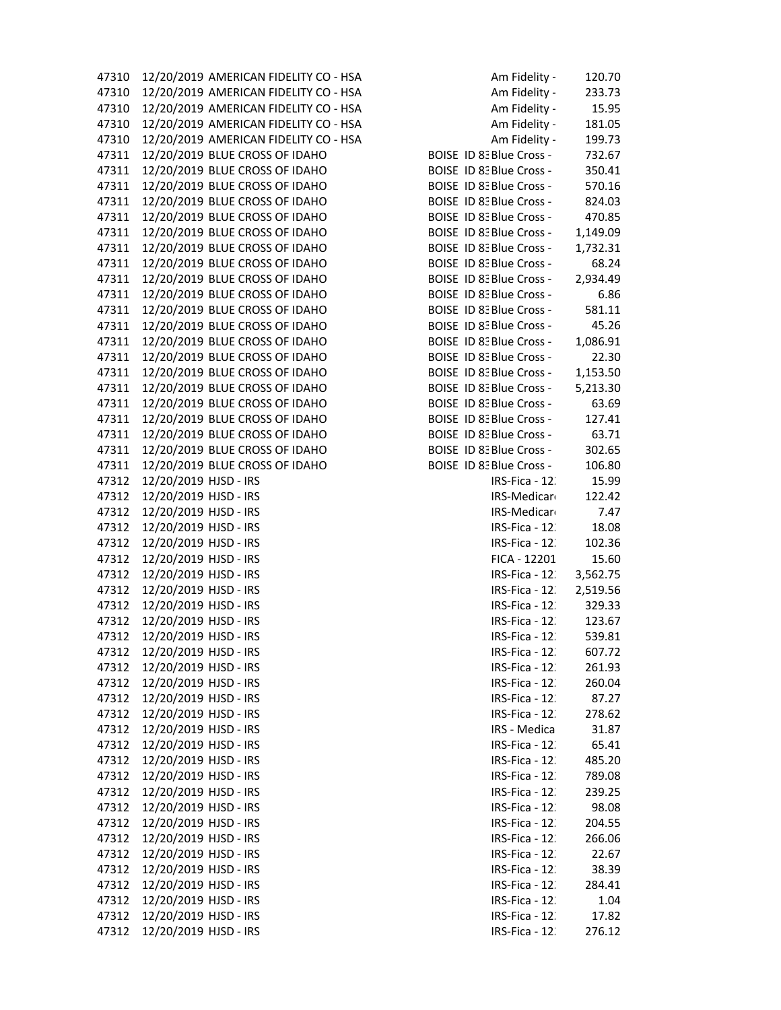| 47310 | 12/20/2019 AMERICAN FIDELITY CO - HSA | Am Fidelity -            | 120.70   |
|-------|---------------------------------------|--------------------------|----------|
| 47310 | 12/20/2019 AMERICAN FIDELITY CO - HSA | Am Fidelity -            | 233.73   |
| 47310 | 12/20/2019 AMERICAN FIDELITY CO - HSA | Am Fidelity -            | 15.95    |
| 47310 | 12/20/2019 AMERICAN FIDELITY CO - HSA | Am Fidelity -            | 181.05   |
| 47310 | 12/20/2019 AMERICAN FIDELITY CO - HSA | Am Fidelity -            | 199.73   |
| 47311 | 12/20/2019 BLUE CROSS OF IDAHO        | BOISE ID 8: Blue Cross - | 732.67   |
| 47311 | 12/20/2019 BLUE CROSS OF IDAHO        | BOISE ID 8: Blue Cross - | 350.41   |
| 47311 | 12/20/2019 BLUE CROSS OF IDAHO        | BOISE ID 8: Blue Cross - | 570.16   |
| 47311 | 12/20/2019 BLUE CROSS OF IDAHO        | BOISE ID 8: Blue Cross - | 824.03   |
| 47311 | 12/20/2019 BLUE CROSS OF IDAHO        | BOISE ID 8: Blue Cross - | 470.85   |
| 47311 | 12/20/2019 BLUE CROSS OF IDAHO        | BOISE ID 8: Blue Cross - | 1,149.09 |
| 47311 | 12/20/2019 BLUE CROSS OF IDAHO        | BOISE ID 8: Blue Cross - | 1,732.31 |
| 47311 | 12/20/2019 BLUE CROSS OF IDAHO        | BOISE ID 8: Blue Cross - | 68.24    |
| 47311 | 12/20/2019 BLUE CROSS OF IDAHO        | BOISE ID 8: Blue Cross - | 2,934.49 |
| 47311 | 12/20/2019 BLUE CROSS OF IDAHO        | BOISE ID 8: Blue Cross - | 6.86     |
| 47311 | 12/20/2019 BLUE CROSS OF IDAHO        | BOISE ID 8: Blue Cross - | 581.11   |
| 47311 | 12/20/2019 BLUE CROSS OF IDAHO        | BOISE ID 8: Blue Cross - | 45.26    |
| 47311 | 12/20/2019 BLUE CROSS OF IDAHO        | BOISE ID 8: Blue Cross - | 1,086.91 |
| 47311 | 12/20/2019 BLUE CROSS OF IDAHO        | BOISE ID 8: Blue Cross - | 22.30    |
| 47311 | 12/20/2019 BLUE CROSS OF IDAHO        | BOISE ID 8: Blue Cross - | 1,153.50 |
| 47311 | 12/20/2019 BLUE CROSS OF IDAHO        | BOISE ID 8: Blue Cross - | 5,213.30 |
| 47311 | 12/20/2019 BLUE CROSS OF IDAHO        | BOISE ID 8: Blue Cross - | 63.69    |
| 47311 | 12/20/2019 BLUE CROSS OF IDAHO        | BOISE ID 8: Blue Cross - | 127.41   |
| 47311 | 12/20/2019 BLUE CROSS OF IDAHO        | BOISE ID 8: Blue Cross - | 63.71    |
| 47311 | 12/20/2019 BLUE CROSS OF IDAHO        | BOISE ID 8: Blue Cross - | 302.65   |
| 47311 | 12/20/2019 BLUE CROSS OF IDAHO        | BOISE ID 8: Blue Cross - | 106.80   |
| 47312 | 12/20/2019 HJSD - IRS                 | IRS-Fica - 12.           | 15.99    |
| 47312 | 12/20/2019 HJSD - IRS                 | IRS-Medicaro             | 122.42   |
| 47312 | 12/20/2019 HJSD - IRS                 | IRS-Medicaro             | 7.47     |
| 47312 | 12/20/2019 HJSD - IRS                 | IRS-Fica - 12.           | 18.08    |
| 47312 | 12/20/2019 HJSD - IRS                 | IRS-Fica - 12.           | 102.36   |
| 47312 | 12/20/2019 HJSD - IRS                 | FICA - 12201             | 15.60    |
| 47312 | 12/20/2019 HJSD - IRS                 | IRS-Fica - 12.           | 3,562.75 |
| 47312 | 12/20/2019 HJSD - IRS                 | IRS-Fica - 12.           | 2,519.56 |
| 47312 | 12/20/2019 HJSD - IRS                 | IRS-Fica - 12.           | 329.33   |
| 47312 | 12/20/2019 HJSD - IRS                 | IRS-Fica - 12.           | 123.67   |
| 47312 | 12/20/2019 HJSD - IRS                 | IRS-Fica - 12.           | 539.81   |
| 47312 | 12/20/2019 HJSD - IRS                 | IRS-Fica - 12.           | 607.72   |
| 47312 | 12/20/2019 HJSD - IRS                 | IRS-Fica - 12.           | 261.93   |
| 47312 | 12/20/2019 HJSD - IRS                 | IRS-Fica - 12.           | 260.04   |
| 47312 | 12/20/2019 HJSD - IRS                 | IRS-Fica - 12.           | 87.27    |
| 47312 | 12/20/2019 HJSD - IRS                 | IRS-Fica - 12.           | 278.62   |
| 47312 | 12/20/2019 HJSD - IRS                 | IRS - Medica             | 31.87    |
|       | 12/20/2019 HJSD - IRS                 | IRS-Fica - 12.           |          |
| 47312 | 12/20/2019 HJSD - IRS                 |                          | 65.41    |
| 47312 |                                       | IRS-Fica - 12.           | 485.20   |
| 47312 | 12/20/2019 HJSD - IRS                 | IRS-Fica - 12.           | 789.08   |
| 47312 | 12/20/2019 HJSD - IRS                 | IRS-Fica - 12.           | 239.25   |
| 47312 | 12/20/2019 HJSD - IRS                 | IRS-Fica - 12.           | 98.08    |
| 47312 | 12/20/2019 HJSD - IRS                 | IRS-Fica - 12.           | 204.55   |
| 47312 | 12/20/2019 HJSD - IRS                 | IRS-Fica - 12.           | 266.06   |
| 47312 | 12/20/2019 HJSD - IRS                 | IRS-Fica - 12.           | 22.67    |
| 47312 | 12/20/2019 HJSD - IRS                 | IRS-Fica - 12.           | 38.39    |
| 47312 | 12/20/2019 HJSD - IRS                 | IRS-Fica - 12.           | 284.41   |
| 47312 | 12/20/2019 HJSD - IRS                 | IRS-Fica - 12.           | 1.04     |
| 47312 | 12/20/2019 HJSD - IRS                 | IRS-Fica - 12.           | 17.82    |
| 47312 | 12/20/2019 HJSD - IRS                 | IRS-Fica - 12.           | 276.12   |

|             | Am Fidelity -      | 120.70   |
|-------------|--------------------|----------|
|             | Am Fidelity -      | 233.73   |
|             | Am Fidelity -      | 15.95    |
|             | Am Fidelity -      | 181.05   |
|             | Am Fidelity -      | 199.73   |
| )ISE        | ID 8: Blue Cross - | 732.67   |
| )ISE        | ID 8: Blue Cross - | 350.41   |
| )ISE        | ID 8: Blue Cross - | 570.16   |
| )ISE        | ID 8: Blue Cross - | 824.03   |
| )ISE        | ID 8: Blue Cross - | 470.85   |
| )ISE        | ID 8: Blue Cross - | 1,149.09 |
| <b>JISE</b> | ID 8: Blue Cross - | 1,732.31 |
| )ISE        | ID 8: Blue Cross - | 68.24    |
| )ISE        | ID 8: Blue Cross - | 2,934.49 |
| )ISE        | ID 8: Blue Cross - | 6.86     |
| )ISE        | ID 8: Blue Cross - | 581.11   |
| )ISE        | ID 8: Blue Cross - | 45.26    |
| )ISE        | ID 8: Blue Cross - | 1,086.91 |
| )ISE        | ID 8: Blue Cross - | 22.30    |
| )ISE        | ID 8: Blue Cross - | 1,153.50 |
| )ISE        | ID 8: Blue Cross - | 5,213.30 |
| )ISE        | ID 8: Blue Cross - | 63.69    |
| )ISE        | ID 8: Blue Cross - | 127.41   |
| )ISE        | ID 8: Blue Cross - | 63.71    |
| )ISE        | ID 8: Blue Cross - | 302.65   |
| )ISE        | ID 8: Blue Cross - | 106.80   |
|             | IRS-Fica - 12.     | 15.99    |
|             | IRS-Medicar        | 122.42   |
|             | IRS-Medicar        | 7.47     |
|             | IRS-Fica - 12.     | 18.08    |
|             | IRS-Fica - 12.     | 102.36   |
|             | FICA - 12201       | 15.60    |
|             | IRS-Fica - 12.     | 3,562.75 |
|             | IRS-Fica - 12.     | 2,519.56 |
|             | IRS-Fica - 12.     | 329.33   |
|             | IRS-Fica - 12.     | 123.67   |
|             | IRS-Fica - 12.     | 539.81   |
|             | IRS-Fica - 12.     | 607.72   |
|             | IRS-Fica - 12.     | 261.93   |
|             | IRS-Fica - 12.     | 260.04   |
|             | IRS-Fica - 12.     | 87.27    |
|             | IRS-Fica - 12.     | 278.62   |
|             | IRS - Medica       | 31.87    |
|             | IRS-Fica - 12.     | 65.41    |
|             | IRS-Fica - 12.     | 485.20   |
|             | IRS-Fica - 12.     | 789.08   |
|             | IRS-Fica - 12.     | 239.25   |
|             | IRS-Fica - 12.     | 98.08    |
|             | IRS-Fica - 12.     | 204.55   |
|             | IRS-Fica - 12.     | 266.06   |
|             | IRS-Fica - 12.     | 22.67    |
|             | IRS-Fica - 12.     | 38.39    |
|             | IRS-Fica - 12.     | 284.41   |
|             | IRS-Fica - 12.     | 1.04     |
|             | IRS-Fica - 12.     | 17.82    |
|             | IRS-Fica - 12.     | 276.12   |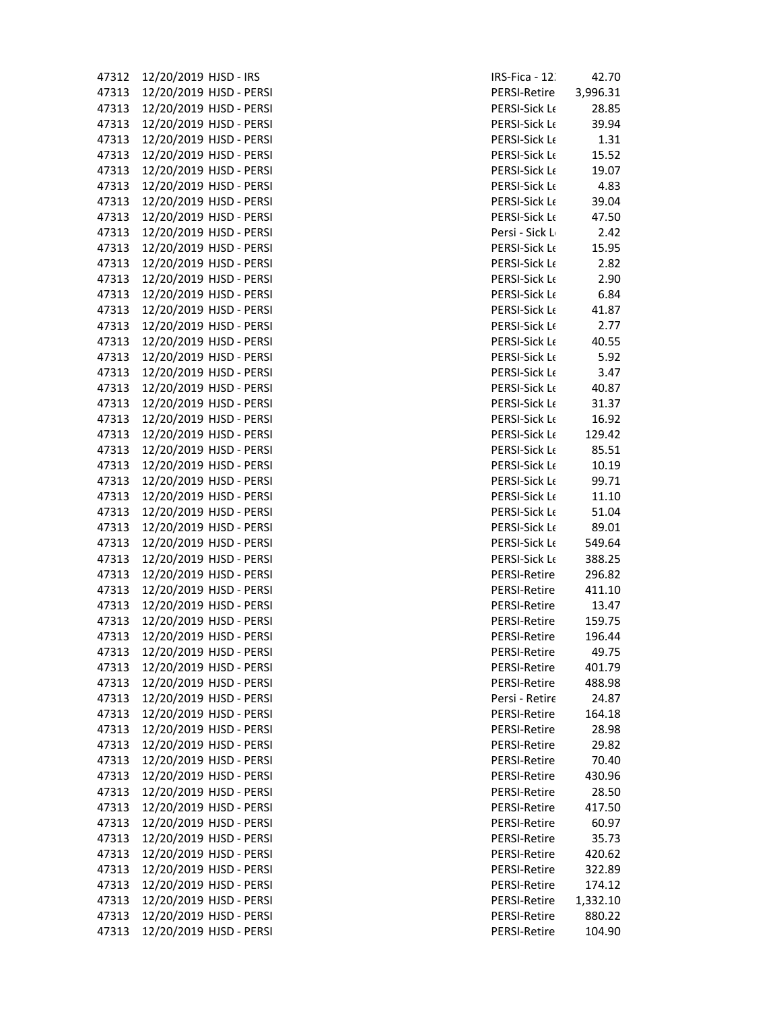| 47312          | 12/20/2019 HJSD - IRS                              | IRS-Fica - 12                |
|----------------|----------------------------------------------------|------------------------------|
| 47313          | 12/20/2019 HJSD - PERSI                            | PERSI-Retire                 |
| 47313          | 12/20/2019 HJSD - PERSI                            | <b>PERSI-Sick L</b>          |
| 47313          | 12/20/2019 HJSD - PERSI                            | PERSI-Sick L                 |
| 47313          | 12/20/2019 HJSD - PERSI                            | PERSI-Sick L                 |
| 47313          | 12/20/2019 HJSD - PERSI                            | PERSI-Sick L                 |
| 47313          | 12/20/2019 HJSD - PERSI                            | PERSI-Sick L                 |
| 47313          | 12/20/2019 HJSD - PERSI                            | PERSI-Sick L                 |
| 47313          | 12/20/2019 HJSD - PERSI                            | PERSI-Sick L                 |
| 47313          | 12/20/2019 HJSD - PERSI                            | PERSI-Sick L                 |
| 47313          | 12/20/2019 HJSD - PERSI                            | Persi - Sick I               |
| 47313          | 12/20/2019 HJSD - PERSI                            | PERSI-Sick L                 |
| 47313          | 12/20/2019 HJSD - PERSI                            | PERSI-Sick L                 |
| 47313          | 12/20/2019 HJSD - PERSI                            | PERSI-Sick L                 |
| 47313          | 12/20/2019 HJSD - PERSI                            | PERSI-Sick L                 |
| 47313          | 12/20/2019 HJSD - PERSI                            | PERSI-Sick L                 |
| 47313          | 12/20/2019 HJSD - PERSI                            | PERSI-Sick L                 |
| 47313          | 12/20/2019 HJSD - PERSI                            | PERSI-Sick L                 |
| 47313          | 12/20/2019 HJSD - PERSI                            | PERSI-Sick L                 |
| 47313          | 12/20/2019 HJSD - PERSI                            | PERSI-Sick L                 |
|                |                                                    |                              |
| 47313<br>47313 | 12/20/2019 HJSD - PERSI                            | PERSI-Sick L<br>PERSI-Sick L |
|                | 12/20/2019 HJSD - PERSI                            |                              |
| 47313<br>47313 | 12/20/2019 HJSD - PERSI<br>12/20/2019 HJSD - PERSI | PERSI-Sick L<br>PERSI-Sick L |
|                |                                                    |                              |
| 47313<br>47313 | 12/20/2019 HJSD - PERSI<br>12/20/2019 HJSD - PERSI | PERSI-Sick L<br>PERSI-Sick L |
| 47313          | 12/20/2019 HJSD - PERSI                            | PERSI-Sick L                 |
| 47313          | 12/20/2019 HJSD - PERSI                            | PERSI-Sick L                 |
| 47313          | 12/20/2019 HJSD - PERSI                            | PERSI-Sick L                 |
| 47313          | 12/20/2019 HJSD - PERSI                            | PERSI-Sick L                 |
| 47313          | 12/20/2019 HJSD - PERSI                            | PERSI-Sick L                 |
| 47313          | 12/20/2019 HJSD - PERSI                            | PERSI-Sick L                 |
| 47313          | 12/20/2019 HJSD - PERSI                            | PERSI-Retire                 |
| 47313          | 12/20/2019 HJSD - PERSI                            | PERSI-Retire                 |
| 47313          | 12/20/2019 HJSD - PERSI                            | PERSI-Retire                 |
| 47313          | 12/20/2019 HJSD - PERSI                            | PERSI-Retire                 |
|                | 47313 12/20/2019 HJSD - PERSI                      |                              |
|                | 12/20/2019 HJSD - PERSI                            | PERSI-Retire<br>PERSI-Retire |
| 47313<br>47313 | 12/20/2019 HJSD - PERSI                            | PERSI-Retire                 |
| 47313          | 12/20/2019 HJSD - PERSI                            | PERSI-Retire                 |
| 47313          | 12/20/2019 HJSD - PERSI                            | Persi - Retir                |
| 47313          | 12/20/2019 HJSD - PERSI                            | PERSI-Retire                 |
|                | 12/20/2019 HJSD - PERSI                            | PERSI-Retire                 |
| 47313          |                                                    |                              |
| 47313          | 12/20/2019 HJSD - PERSI<br>12/20/2019 HJSD - PERSI | PERSI-Retire<br>PERSI-Retire |
| 47313          | 12/20/2019 HJSD - PERSI                            | PERSI-Retire                 |
| 47313          | 12/20/2019 HJSD - PERSI                            | PERSI-Retire                 |
| 47313          |                                                    |                              |
| 47313<br>47313 | 12/20/2019 HJSD - PERSI<br>12/20/2019 HJSD - PERSI | PERSI-Retire<br>PERSI-Retire |
|                | 12/20/2019 HJSD - PERSI                            | PERSI-Retire                 |
| 47313          | 12/20/2019 HJSD - PERSI                            |                              |
| 47313          |                                                    | PERSI-Retire                 |
| 47313          | 12/20/2019 HJSD - PERSI                            | PERSI-Retire                 |
| 47313          | 12/20/2019 HJSD - PERSI<br>12/20/2019 HJSD - PERSI | PERSI-Retire<br>PERSI-Retire |
| 47313          | 12/20/2019 HJSD - PERSI                            |                              |
| 47313<br>47313 |                                                    | PERSI-Retire<br>PERSI-Retire |
|                | 12/20/2019 HJSD - PERSI                            |                              |

| IRS-Fica - 12.      | 42.70    |
|---------------------|----------|
| <b>PERSI-Retire</b> | 3,996.31 |
| PERSI-Sick Le       | 28.85    |
| PERSI-Sick Le       | 39.94    |
| PERSI-Sick Le       | 1.31     |
| PERSI-Sick Le       | 15.52    |
| PERSI-Sick Le       | 19.07    |
| PERSI-Sick Le       | 4.83     |
| PERSI-Sick Le       | 39.04    |
| PERSI-Sick Le       | 47.50    |
| Persi - Sick L      | 2.42     |
| PERSI-Sick Le       | 15.95    |
| PERSI-Sick Le       | 2.82     |
| PERSI-Sick Le       | 2.90     |
| PERSI-Sick Le       | 6.84     |
| PERSI-Sick Le       | 41.87    |
| PERSI-Sick Le       |          |
|                     | 2.77     |
| PERSI-Sick Le       | 40.55    |
| PERSI-Sick Le       | 5.92     |
| PERSI-Sick Le       | 3.47     |
| PERSI-Sick Le       | 40.87    |
| PERSI-Sick Le       | 31.37    |
| PERSI-Sick Le       | 16.92    |
| PERSI-Sick Le       | 129.42   |
| PERSI-Sick Le       | 85.51    |
| PERSI-Sick Le       | 10.19    |
| PERSI-Sick Le       | 99.71    |
| PERSI-Sick Le       | 11.10    |
| PERSI-Sick Le       | 51.04    |
| PERSI-Sick Le       | 89.01    |
| PERSI-Sick Le       | 549.64   |
| PERSI-Sick Le       | 388.25   |
| <b>PERSI-Retire</b> | 296.82   |
| <b>PERSI-Retire</b> | 411.10   |
| <b>PERSI-Retire</b> | 13.47    |
| <b>PERSI-Retire</b> | 159.75   |
| <b>PERSI-Retire</b> | 196.44   |
| <b>PERSI-Retire</b> | 49.75    |
| <b>PERSI-Retire</b> | 401.79   |
| <b>PERSI-Retire</b> | 488.98   |
| Persi - Retire      | 24.87    |
| <b>PERSI-Retire</b> | 164.18   |
| <b>PERSI-Retire</b> | 28.98    |
| <b>PERSI-Retire</b> | 29.82    |
| <b>PERSI-Retire</b> | 70.40    |
| <b>PERSI-Retire</b> | 430.96   |
| <b>PERSI-Retire</b> | 28.50    |
| <b>PERSI-Retire</b> | 417.50   |
| PERSI-Retire        | 60.97    |
| PERSI-Retire        | 35.73    |
| PERSI-Retire        | 420.62   |
| PERSI-Retire        | 322.89   |
| PERSI-Retire        | 174.12   |
| PERSI-Retire        | 1,332.10 |
| <b>PERSI-Retire</b> | 880.22   |
| <b>PERSI-Retire</b> | 104.90   |
|                     |          |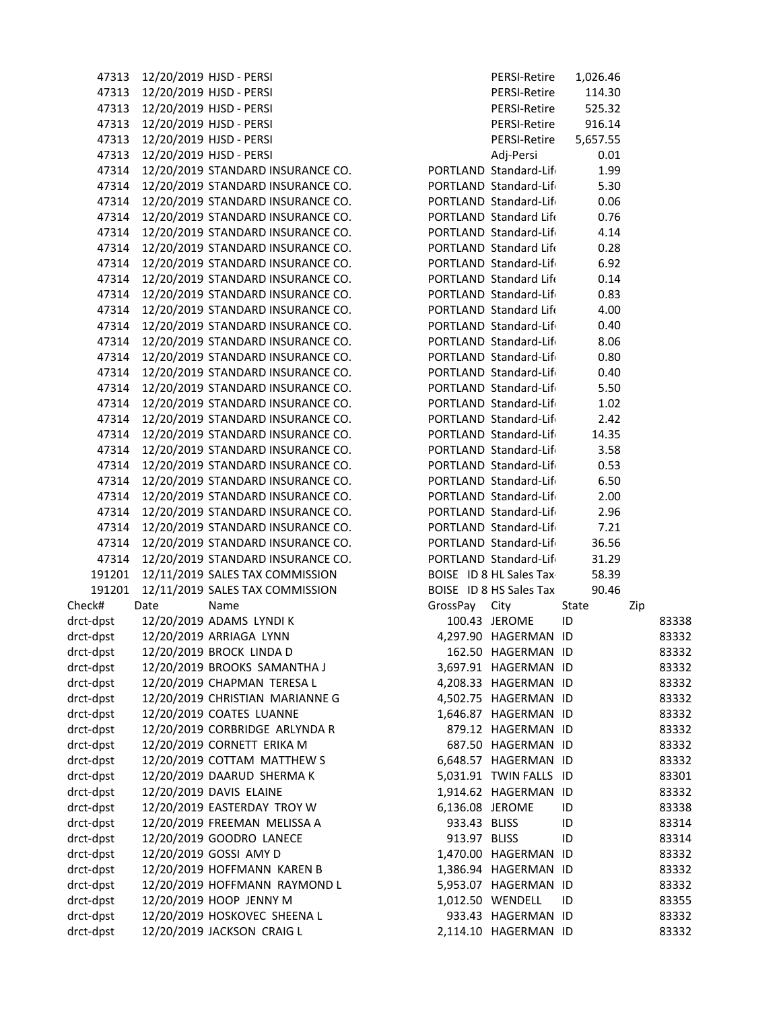| 47313     |      | 12/20/2019 HJSD - PERSI                 |                 | PERSI-Retire            | 1,026.46 |     |       |
|-----------|------|-----------------------------------------|-----------------|-------------------------|----------|-----|-------|
| 47313     |      | 12/20/2019 HJSD - PERSI                 |                 | PERSI-Retire            | 114.30   |     |       |
| 47313     |      | 12/20/2019 HJSD - PERSI                 |                 | PERSI-Retire            | 525.32   |     |       |
| 47313     |      | 12/20/2019 HJSD - PERSI                 |                 | PERSI-Retire            | 916.14   |     |       |
| 47313     |      | 12/20/2019 HJSD - PERSI                 |                 | PERSI-Retire            | 5,657.55 |     |       |
| 47313     |      | 12/20/2019 HJSD - PERSI                 |                 | Adj-Persi               | 0.01     |     |       |
| 47314     |      | 12/20/2019 STANDARD INSURANCE CO.       |                 | PORTLAND Standard-Life  | 1.99     |     |       |
| 47314     |      | 12/20/2019 STANDARD INSURANCE CO.       |                 | PORTLAND Standard-Lift  | 5.30     |     |       |
| 47314     |      | 12/20/2019 STANDARD INSURANCE CO.       |                 | PORTLAND Standard-Lift  | 0.06     |     |       |
| 47314     |      | 12/20/2019 STANDARD INSURANCE CO.       |                 | PORTLAND Standard Life  | 0.76     |     |       |
| 47314     |      | 12/20/2019 STANDARD INSURANCE CO.       |                 | PORTLAND Standard-Lift  | 4.14     |     |       |
| 47314     |      | 12/20/2019 STANDARD INSURANCE CO.       |                 | PORTLAND Standard Life  | 0.28     |     |       |
| 47314     |      | 12/20/2019 STANDARD INSURANCE CO.       |                 | PORTLAND Standard-Life  | 6.92     |     |       |
| 47314     |      | 12/20/2019 STANDARD INSURANCE CO.       |                 | PORTLAND Standard Life  | 0.14     |     |       |
| 47314     |      | 12/20/2019 STANDARD INSURANCE CO.       |                 | PORTLAND Standard-Life  | 0.83     |     |       |
| 47314     |      | 12/20/2019 STANDARD INSURANCE CO.       |                 | PORTLAND Standard Life  | 4.00     |     |       |
| 47314     |      | 12/20/2019 STANDARD INSURANCE CO.       |                 | PORTLAND Standard-Life  | 0.40     |     |       |
| 47314     |      | 12/20/2019 STANDARD INSURANCE CO.       |                 | PORTLAND Standard-Life  | 8.06     |     |       |
| 47314     |      | 12/20/2019 STANDARD INSURANCE CO.       |                 | PORTLAND Standard-Life  | 0.80     |     |       |
| 47314     |      | 12/20/2019 STANDARD INSURANCE CO.       |                 | PORTLAND Standard-Life  | 0.40     |     |       |
|           |      | 47314 12/20/2019 STANDARD INSURANCE CO. |                 | PORTLAND Standard-Life  | 5.50     |     |       |
|           |      | 47314 12/20/2019 STANDARD INSURANCE CO. |                 | PORTLAND Standard-Life  | 1.02     |     |       |
|           |      | 47314 12/20/2019 STANDARD INSURANCE CO. |                 | PORTLAND Standard-Life  | 2.42     |     |       |
|           |      | 47314 12/20/2019 STANDARD INSURANCE CO. |                 | PORTLAND Standard-Life  | 14.35    |     |       |
|           |      | 47314 12/20/2019 STANDARD INSURANCE CO. |                 | PORTLAND Standard-Life  | 3.58     |     |       |
|           |      | 47314 12/20/2019 STANDARD INSURANCE CO. |                 | PORTLAND Standard-Life  | 0.53     |     |       |
|           |      | 47314 12/20/2019 STANDARD INSURANCE CO. |                 | PORTLAND Standard-Life  | 6.50     |     |       |
|           |      | 47314 12/20/2019 STANDARD INSURANCE CO. |                 | PORTLAND Standard-Life  | 2.00     |     |       |
| 47314     |      | 12/20/2019 STANDARD INSURANCE CO.       |                 | PORTLAND Standard-Life  | 2.96     |     |       |
| 47314     |      | 12/20/2019 STANDARD INSURANCE CO.       |                 | PORTLAND Standard-Life  | 7.21     |     |       |
| 47314     |      | 12/20/2019 STANDARD INSURANCE CO.       |                 | PORTLAND Standard-Life  | 36.56    |     |       |
| 47314     |      | 12/20/2019 STANDARD INSURANCE CO.       |                 | PORTLAND Standard-Life  | 31.29    |     |       |
| 191201    |      | 12/11/2019 SALES TAX COMMISSION         |                 | BOISE ID 8 HL Sales Tax | 58.39    |     |       |
| 191201    |      | 12/11/2019 SALES TAX COMMISSION         |                 | BOISE ID 8 HS Sales Tax | 90.46    |     |       |
| Check#    | Date | Name                                    | GrossPay        | City                    | State    | Zip |       |
| drct-dpst |      | 12/20/2019 ADAMS LYNDI K                |                 | 100.43 JEROME           | ID       |     | 83338 |
| drct-dpst |      | 12/20/2019 ARRIAGA LYNN                 |                 | 4,297.90 HAGERMAN ID    |          |     | 83332 |
| drct-dpst |      | 12/20/2019 BROCK LINDA D                |                 | 162.50 HAGERMAN ID      |          |     | 83332 |
| drct-dpst |      | 12/20/2019 BROOKS SAMANTHA J            |                 | 3,697.91 HAGERMAN ID    |          |     | 83332 |
| drct-dpst |      | 12/20/2019 CHAPMAN TERESA L             |                 | 4,208.33 HAGERMAN ID    |          |     | 83332 |
| drct-dpst |      | 12/20/2019 CHRISTIAN MARIANNE G         |                 | 4,502.75 HAGERMAN ID    |          |     | 83332 |
| drct-dpst |      | 12/20/2019 COATES LUANNE                |                 | 1,646.87 HAGERMAN ID    |          |     | 83332 |
| drct-dpst |      | 12/20/2019 CORBRIDGE ARLYNDA R          |                 | 879.12 HAGERMAN ID      |          |     | 83332 |
| drct-dpst |      | 12/20/2019 CORNETT ERIKA M              |                 | 687.50 HAGERMAN ID      |          |     | 83332 |
| drct-dpst |      | 12/20/2019 COTTAM MATTHEW S             |                 | 6,648.57 HAGERMAN ID    |          |     | 83332 |
| drct-dpst |      | 12/20/2019 DAARUD SHERMA K              |                 | 5,031.91 TWIN FALLS ID  |          |     | 83301 |
| drct-dpst |      | 12/20/2019 DAVIS ELAINE                 |                 | 1,914.62 HAGERMAN ID    |          |     | 83332 |
| drct-dpst |      | 12/20/2019 EASTERDAY TROY W             | 6,136.08 JEROME |                         | ID       |     | 83338 |
| drct-dpst |      | 12/20/2019 FREEMAN MELISSA A            | 933.43 BLISS    |                         | ID       |     | 83314 |
| drct-dpst |      | 12/20/2019 GOODRO LANECE                | 913.97 BLISS    |                         | ID       |     | 83314 |
| drct-dpst |      | 12/20/2019 GOSSI AMY D                  |                 | 1,470.00 HAGERMAN ID    |          |     | 83332 |
| drct-dpst |      | 12/20/2019 HOFFMANN KAREN B             |                 | 1,386.94 HAGERMAN ID    |          |     | 83332 |
| drct-dpst |      | 12/20/2019 HOFFMANN RAYMOND L           |                 | 5,953.07 HAGERMAN ID    |          |     | 83332 |
| drct-dpst |      | 12/20/2019 HOOP JENNY M                 |                 | 1,012.50 WENDELL        | ID       |     | 83355 |
| drct-dpst |      | 12/20/2019 HOSKOVEC SHEENA L            |                 | 933.43 HAGERMAN ID      |          |     | 83332 |
| drct-dpst |      | 12/20/2019 JACKSON CRAIG L              |                 | 2,114.10 HAGERMAN ID    |          |     | 83332 |

|               | PERSI-Retire            | 1,026.46 |     |      |
|---------------|-------------------------|----------|-----|------|
|               | PERSI-Retire            | 114.30   |     |      |
|               | PERSI-Retire            | 525.32   |     |      |
|               | PERSI-Retire            | 916.14   |     |      |
|               | <b>PERSI-Retire</b>     | 5,657.55 |     |      |
|               | Adj-Persi               | 0.01     |     |      |
|               | PORTLAND Standard-Life  | 1.99     |     |      |
|               | PORTLAND Standard-Lift  | 5.30     |     |      |
|               | PORTLAND Standard-Life  |          |     |      |
|               | PORTLAND Standard Life  | 0.06     |     |      |
|               |                         | 0.76     |     |      |
|               | PORTLAND Standard-Lift  | 4.14     |     |      |
|               | PORTLAND Standard Life  | 0.28     |     |      |
|               | PORTLAND Standard-Life  | 6.92     |     |      |
|               | PORTLAND Standard Life  | 0.14     |     |      |
|               | PORTLAND Standard-Lift  | 0.83     |     |      |
|               | PORTLAND Standard Life  | 4.00     |     |      |
|               | PORTLAND Standard-Lift  | 0.40     |     |      |
|               | PORTLAND Standard-Lift  | 8.06     |     |      |
|               | PORTLAND Standard-Lift  | 0.80     |     |      |
|               | PORTLAND Standard-Lift  | 0.40     |     |      |
|               | PORTLAND Standard-Life  | 5.50     |     |      |
|               | PORTLAND Standard-Lift  | 1.02     |     |      |
|               | PORTLAND Standard-Life  | 2.42     |     |      |
|               | PORTLAND Standard-Life  | 14.35    |     |      |
|               | PORTLAND Standard-Life  | 3.58     |     |      |
|               | PORTLAND Standard-Life  | 0.53     |     |      |
|               | PORTLAND Standard-Life  | 6.50     |     |      |
|               | PORTLAND Standard-Lift  | 2.00     |     |      |
|               | PORTLAND Standard-Life  | 2.96     |     |      |
|               | PORTLAND Standard-Life  | 7.21     |     |      |
|               | PORTLAND Standard-Lift  | 36.56    |     |      |
|               | PORTLAND Standard-Lift  | 31.29    |     |      |
|               | BOISE ID 8 HL Sales Tax | 58.39    |     |      |
|               | BOISE ID 8 HS Sales Tax | 90.46    |     |      |
|               |                         |          |     |      |
| GrossPay City | 100.43 JEROME           | State    | Zip |      |
|               |                         | ID       |     | 8333 |
|               | 4,297.90 HAGERMAN ID    |          |     | 8333 |
| 162.50        | HAGERMAN                | ID       |     | 8333 |
| 3,697.91      | HAGERMAN                | ID       |     | 8333 |
| 4,208.33      | HAGERMAN                | ID       |     | 8333 |
| 4,502.75      | HAGERMAN                | ID       |     | 8333 |
| 1,646.87      | HAGERMAN                | ID       |     | 8333 |
| 879.12        | HAGERMAN                | ID       |     | 8333 |
| 687.50        | HAGERMAN                | ID       |     | 8333 |
| 6,648.57      | HAGERMAN                | ID       |     | 8333 |
| 5,031.91      | <b>TWIN FALLS</b>       | ID       |     | 8330 |
| 1,914.62      | HAGERMAN                | ID       |     | 8333 |
| 6,136.08      | <b>JEROME</b>           | ID       |     | 8333 |
| 933.43        | <b>BLISS</b>            | ID       |     | 8331 |
| 913.97        | <b>BLISS</b>            | ID       |     | 8331 |
| 1,470.00      | HAGERMAN                | ID       |     | 8333 |
| 1,386.94      | <b>HAGERMAN</b>         | ID       |     | 8333 |
| 5,953.07      | <b>HAGERMAN</b>         | ID       |     | 8333 |
| 1,012.50      | WENDELL                 | ID       |     | 8335 |
| 933.43        | HAGERMAN                | ID       |     | 8333 |
| 2,114.10      | HAGERMAN                | ID       |     | 8333 |
|               |                         |          |     |      |